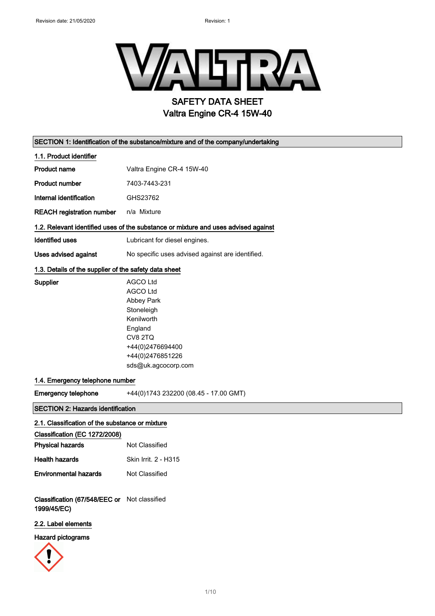

| SECTION 1: Identification of the substance/mixture and of the company/undertaking |                                                                                                                                                                   |  |
|-----------------------------------------------------------------------------------|-------------------------------------------------------------------------------------------------------------------------------------------------------------------|--|
| 1.1. Product identifier                                                           |                                                                                                                                                                   |  |
| <b>Product name</b>                                                               | Valtra Engine CR-4 15W-40                                                                                                                                         |  |
| <b>Product number</b>                                                             | 7403-7443-231                                                                                                                                                     |  |
| Internal identification                                                           | GHS23762                                                                                                                                                          |  |
| <b>REACH registration number</b>                                                  | n/a Mixture                                                                                                                                                       |  |
|                                                                                   | 1.2. Relevant identified uses of the substance or mixture and uses advised against                                                                                |  |
| <b>Identified uses</b>                                                            | Lubricant for diesel engines.                                                                                                                                     |  |
| <b>Uses advised against</b>                                                       | No specific uses advised against are identified.                                                                                                                  |  |
| 1.3. Details of the supplier of the safety data sheet                             |                                                                                                                                                                   |  |
| Supplier                                                                          | <b>AGCO Ltd</b><br><b>AGCO Ltd</b><br>Abbey Park<br>Stoneleigh<br>Kenilworth<br>England<br>CV8 2TQ<br>+44(0)2476694400<br>+44(0)2476851226<br>sds@uk.agcocorp.com |  |
| 1.4. Emergency telephone number                                                   |                                                                                                                                                                   |  |
| <b>Emergency telephone</b>                                                        | +44(0)1743 232200 (08.45 - 17.00 GMT)                                                                                                                             |  |
| <b>SECTION 2: Hazards identification</b>                                          |                                                                                                                                                                   |  |
| 2.1. Classification of the substance or mixture                                   |                                                                                                                                                                   |  |
| Classification (EC 1272/2008)                                                     |                                                                                                                                                                   |  |
| <b>Physical hazards</b>                                                           | Not Classified                                                                                                                                                    |  |
| <b>Health hazards</b>                                                             | Skin Irrit. 2 - H315                                                                                                                                              |  |
| <b>Environmental hazards</b>                                                      | Not Classified                                                                                                                                                    |  |
| Classification (67/548/EEC or Not classified<br>1999/45/EC)                       |                                                                                                                                                                   |  |
| 2.2. Label elements                                                               |                                                                                                                                                                   |  |
| <b>Hazard pictograms</b>                                                          |                                                                                                                                                                   |  |

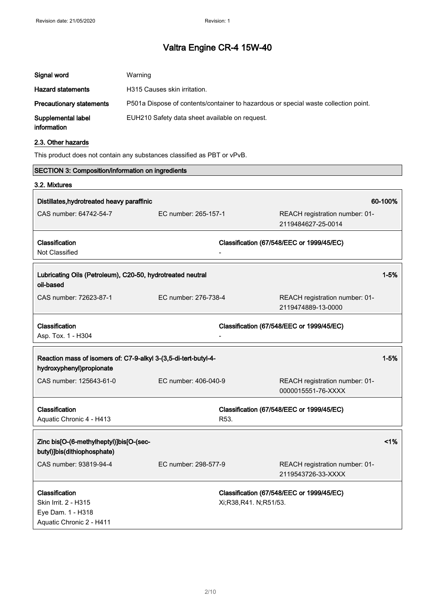| Signal word                       | Warning                                                                             |
|-----------------------------------|-------------------------------------------------------------------------------------|
| <b>Hazard statements</b>          | H315 Causes skin irritation.                                                        |
| <b>Precautionary statements</b>   | P501a Dispose of contents/container to hazardous or special waste collection point. |
| Supplemental label<br>information | EUH210 Safety data sheet available on request.                                      |

### 2.3. Other hazards

 $\blacksquare$ 

This product does not contain any substances classified as PBT or vPvB.

| <b>SECTION 3: Composition/information on ingredients</b>                                    |                      |                       |                                                      |          |
|---------------------------------------------------------------------------------------------|----------------------|-----------------------|------------------------------------------------------|----------|
| 3.2. Mixtures                                                                               |                      |                       |                                                      |          |
| Distillates, hydrotreated heavy paraffinic                                                  |                      |                       |                                                      | 60-100%  |
| CAS number: 64742-54-7                                                                      | EC number: 265-157-1 |                       | REACH registration number: 01-<br>2119484627-25-0014 |          |
| Classification                                                                              |                      |                       | Classification (67/548/EEC or 1999/45/EC)            |          |
| Not Classified                                                                              |                      |                       |                                                      |          |
| Lubricating Oils (Petroleum), C20-50, hydrotreated neutral<br>oil-based                     |                      |                       |                                                      | $1 - 5%$ |
| CAS number: 72623-87-1                                                                      | EC number: 276-738-4 |                       | REACH registration number: 01-<br>2119474889-13-0000 |          |
| Classification<br>Asp. Tox. 1 - H304                                                        |                      |                       | Classification (67/548/EEC or 1999/45/EC)            |          |
| Reaction mass of isomers of: C7-9-alkyl 3-(3,5-di-tert-butyl-4-<br>hydroxyphenyl)propionate |                      |                       |                                                      | $1 - 5%$ |
| CAS number: 125643-61-0                                                                     | EC number: 406-040-9 |                       | REACH registration number: 01-<br>0000015551-76-XXXX |          |
| Classification                                                                              |                      |                       | Classification (67/548/EEC or 1999/45/EC)            |          |
| Aquatic Chronic 4 - H413                                                                    |                      | R53.                  |                                                      |          |
| Zinc bis[O-(6-methylheptyl)]bis[O-(sec-<br>butyl)]bis(dithiophosphate)                      |                      |                       |                                                      | 1%       |
| CAS number: 93819-94-4                                                                      | EC number: 298-577-9 |                       | REACH registration number: 01-<br>2119543726-33-XXXX |          |
| Classification<br>Skin Irrit. 2 - H315<br>Eye Dam. 1 - H318<br>Aquatic Chronic 2 - H411     |                      | Xi;R38,R41. N;R51/53. | Classification (67/548/EEC or 1999/45/EC)            |          |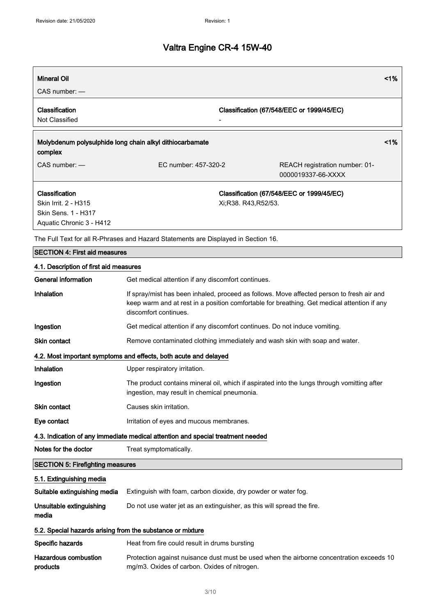| <b>Mineral Oil</b>                                                                        |                                                                                    |                     | 1%                                                                                                                                                                                       |  |
|-------------------------------------------------------------------------------------------|------------------------------------------------------------------------------------|---------------------|------------------------------------------------------------------------------------------------------------------------------------------------------------------------------------------|--|
| $CAS$ number: $-$                                                                         |                                                                                    |                     |                                                                                                                                                                                          |  |
| Classification<br>Not Classified                                                          |                                                                                    |                     | Classification (67/548/EEC or 1999/45/EC)                                                                                                                                                |  |
| complex                                                                                   | Molybdenum polysulphide long chain alkyl dithiocarbamate                           |                     | 1%                                                                                                                                                                                       |  |
| CAS number: -                                                                             | EC number: 457-320-2                                                               |                     | REACH registration number: 01-<br>0000019337-66-XXXX                                                                                                                                     |  |
| Classification<br>Skin Irrit. 2 - H315<br>Skin Sens. 1 - H317<br>Aquatic Chronic 3 - H412 |                                                                                    | Xi;R38. R43,R52/53. | Classification (67/548/EEC or 1999/45/EC)                                                                                                                                                |  |
|                                                                                           | The Full Text for all R-Phrases and Hazard Statements are Displayed in Section 16. |                     |                                                                                                                                                                                          |  |
| <b>SECTION 4: First aid measures</b>                                                      |                                                                                    |                     |                                                                                                                                                                                          |  |
| 4.1. Description of first aid measures                                                    |                                                                                    |                     |                                                                                                                                                                                          |  |
| <b>General information</b>                                                                | Get medical attention if any discomfort continues.                                 |                     |                                                                                                                                                                                          |  |
| Inhalation                                                                                | discomfort continues.                                                              |                     | If spray/mist has been inhaled, proceed as follows. Move affected person to fresh air and<br>keep warm and at rest in a position comfortable for breathing. Get medical attention if any |  |
| Ingestion                                                                                 | Get medical attention if any discomfort continues. Do not induce vomiting.         |                     |                                                                                                                                                                                          |  |
| <b>Skin contact</b>                                                                       | Remove contaminated clothing immediately and wash skin with soap and water.        |                     |                                                                                                                                                                                          |  |
|                                                                                           | 4.2. Most important symptoms and effects, both acute and delayed                   |                     |                                                                                                                                                                                          |  |
| Inhalation                                                                                | Upper respiratory irritation.                                                      |                     |                                                                                                                                                                                          |  |
| Ingestion                                                                                 | ingestion, may result in chemical pneumonia.                                       |                     | The product contains mineral oil, which if aspirated into the lungs through vomitting after                                                                                              |  |
| Skin contact                                                                              | Causes skin irritation.                                                            |                     |                                                                                                                                                                                          |  |
| Eye contact                                                                               | Irritation of eyes and mucous membranes.                                           |                     |                                                                                                                                                                                          |  |
|                                                                                           | 4.3. Indication of any immediate medical attention and special treatment needed    |                     |                                                                                                                                                                                          |  |
| Notes for the doctor                                                                      | Treat symptomatically.                                                             |                     |                                                                                                                                                                                          |  |
| <b>SECTION 5: Firefighting measures</b>                                                   |                                                                                    |                     |                                                                                                                                                                                          |  |
| 5.1. Extinguishing media                                                                  |                                                                                    |                     |                                                                                                                                                                                          |  |
| Suitable extinguishing media                                                              | Extinguish with foam, carbon dioxide, dry powder or water fog.                     |                     |                                                                                                                                                                                          |  |
| Unsuitable extinguishing<br>media                                                         | Do not use water jet as an extinguisher, as this will spread the fire.             |                     |                                                                                                                                                                                          |  |
| 5.2. Special hazards arising from the substance or mixture                                |                                                                                    |                     |                                                                                                                                                                                          |  |
| Specific hazards                                                                          | Heat from fire could result in drums bursting                                      |                     |                                                                                                                                                                                          |  |

| Hazardous combustion | Protection against nuisance dust must be used when the airborne concentration exceeds 10 |
|----------------------|------------------------------------------------------------------------------------------|
| products             | mg/m3. Oxides of carbon. Oxides of nitrogen.                                             |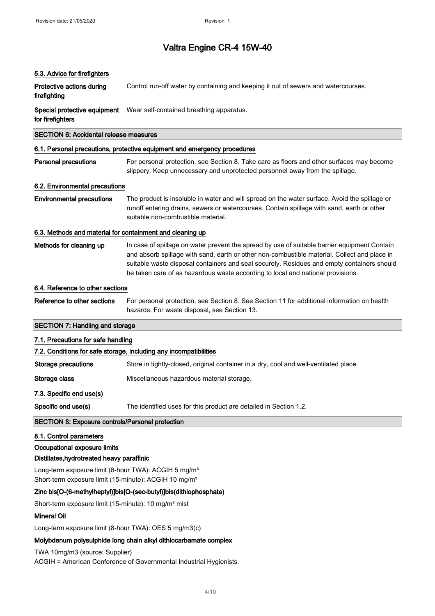| 5.3. Advice for firefighters                                                                                                          |                                                                                                                                                                                                                                                                                                                                                                               |  |
|---------------------------------------------------------------------------------------------------------------------------------------|-------------------------------------------------------------------------------------------------------------------------------------------------------------------------------------------------------------------------------------------------------------------------------------------------------------------------------------------------------------------------------|--|
| Protective actions during<br>firefighting                                                                                             | Control run-off water by containing and keeping it out of sewers and watercourses.                                                                                                                                                                                                                                                                                            |  |
| Special protective equipment<br>for firefighters                                                                                      | Wear self-contained breathing apparatus.                                                                                                                                                                                                                                                                                                                                      |  |
| <b>SECTION 6: Accidental release measures</b>                                                                                         |                                                                                                                                                                                                                                                                                                                                                                               |  |
|                                                                                                                                       | 6.1. Personal precautions, protective equipment and emergency procedures                                                                                                                                                                                                                                                                                                      |  |
| <b>Personal precautions</b>                                                                                                           | For personal protection, see Section 8. Take care as floors and other surfaces may become<br>slippery. Keep unnecessary and unprotected personnel away from the spillage.                                                                                                                                                                                                     |  |
| 6.2. Environmental precautions                                                                                                        |                                                                                                                                                                                                                                                                                                                                                                               |  |
| <b>Environmental precautions</b>                                                                                                      | The product is insoluble in water and will spread on the water surface. Avoid the spillage or<br>runoff entering drains, sewers or watercourses. Contain spillage with sand, earth or other<br>suitable non-combustible material.                                                                                                                                             |  |
| 6.3. Methods and material for containment and cleaning up                                                                             |                                                                                                                                                                                                                                                                                                                                                                               |  |
| Methods for cleaning up                                                                                                               | In case of spillage on water prevent the spread by use of suitable barrier equipment Contain<br>and absorb spillage with sand, earth or other non-combustible material. Collect and place in<br>suitable waste disposal containers and seal securely. Residues and empty containers should<br>be taken care of as hazardous waste according to local and national provisions. |  |
| 6.4. Reference to other sections                                                                                                      |                                                                                                                                                                                                                                                                                                                                                                               |  |
| Reference to other sections                                                                                                           | For personal protection, see Section 8. See Section 11 for additional information on health<br>hazards. For waste disposal, see Section 13.                                                                                                                                                                                                                                   |  |
| <b>SECTION 7: Handling and storage</b>                                                                                                |                                                                                                                                                                                                                                                                                                                                                                               |  |
| 7.1. Precautions for safe handling                                                                                                    |                                                                                                                                                                                                                                                                                                                                                                               |  |
|                                                                                                                                       | 7.2. Conditions for safe storage, including any incompatibilities                                                                                                                                                                                                                                                                                                             |  |
| <b>Storage precautions</b>                                                                                                            | Store in tightly-closed, original container in a dry, cool and well-ventilated place.                                                                                                                                                                                                                                                                                         |  |
| Storage class                                                                                                                         | Miscellaneous hazardous material storage.                                                                                                                                                                                                                                                                                                                                     |  |
| 7.3. Specific end use(s)                                                                                                              |                                                                                                                                                                                                                                                                                                                                                                               |  |
| Specific end use(s)                                                                                                                   | The identified uses for this product are detailed in Section 1.2.                                                                                                                                                                                                                                                                                                             |  |
| <b>SECTION 8: Exposure controls/Personal protection</b>                                                                               |                                                                                                                                                                                                                                                                                                                                                                               |  |
| 8.1. Control parameters                                                                                                               |                                                                                                                                                                                                                                                                                                                                                                               |  |
| Occupational exposure limits                                                                                                          |                                                                                                                                                                                                                                                                                                                                                                               |  |
| Distillates, hydrotreated heavy paraffinic                                                                                            |                                                                                                                                                                                                                                                                                                                                                                               |  |
| Long-term exposure limit (8-hour TWA): ACGIH 5 mg/m <sup>3</sup><br>Short-term exposure limit (15-minute): ACGIH 10 mg/m <sup>3</sup> |                                                                                                                                                                                                                                                                                                                                                                               |  |
|                                                                                                                                       | Zinc bis[O-(6-methylheptyl)]bis[O-(sec-butyl)]bis(dithiophosphate)                                                                                                                                                                                                                                                                                                            |  |
| Short-term exposure limit (15-minute): 10 mg/m <sup>3</sup> mist                                                                      |                                                                                                                                                                                                                                                                                                                                                                               |  |
| <b>Mineral Oil</b>                                                                                                                    |                                                                                                                                                                                                                                                                                                                                                                               |  |
| Long-term exposure limit (8-hour TWA): OES 5 mg/m3(c)                                                                                 |                                                                                                                                                                                                                                                                                                                                                                               |  |
|                                                                                                                                       | Molybdenum polysulphide long chain alloy dithiocarbamate complex                                                                                                                                                                                                                                                                                                              |  |

Molybdenum polysulphide long chain alkyl dithiocarbamate complex

TWA 10mg/m3 (source: Supplier)

ACGIH = American Conference of Governmental Industrial Hygienists.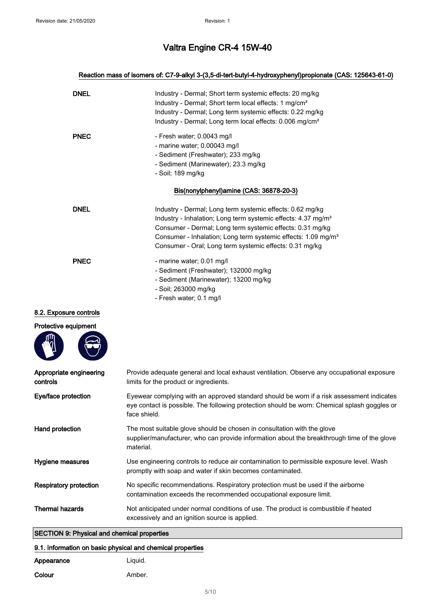### Reaction mass of isomers of: C7-9-alkyl 3-(3,5-di-tert-butyl-4-hydroxyphenyl)propionate (CAS: 125643-61-0)

| <b>DNEL</b> | Industry - Dermal; Short term systemic effects: 20 mg/kg<br>Industry - Dermal; Short term local effects: 1 mg/cm <sup>2</sup><br>Industry - Dermal; Long term systemic effects: 0.22 mg/kg<br>Industry - Dermal; Long term local effects: 0.006 mg/cm <sup>2</sup>                                                                          |
|-------------|---------------------------------------------------------------------------------------------------------------------------------------------------------------------------------------------------------------------------------------------------------------------------------------------------------------------------------------------|
| <b>PNEC</b> | - Fresh water; 0.0043 mg/l<br>- marine water; 0.00043 mg/l<br>- Sediment (Freshwater); 233 mg/kg<br>- Sediment (Marinewater); 23.3 mg/kg<br>- Soil; 189 mg/kg                                                                                                                                                                               |
|             | Bis(nonylphenyl)amine (CAS: 36878-20-3)                                                                                                                                                                                                                                                                                                     |
| <b>DNEL</b> | Industry - Dermal; Long term systemic effects: 0.62 mg/kg<br>Industry - Inhalation; Long term systemic effects: 4.37 mg/m <sup>3</sup><br>Consumer - Dermal; Long term systemic effects: 0.31 mg/kg<br>Consumer - Inhalation; Long term systemic effects: 1.09 mg/m <sup>3</sup><br>Consumer - Oral; Long term systemic effects: 0.31 mg/kg |
| <b>PNEC</b> | - marine water; 0.01 mg/l<br>- Sediment (Freshwater); 132000 mg/kg<br>- Sediment (Marinewater); 13200 mg/kg<br>- Soil; 263000 mg/kg<br>- Fresh water; 0.1 mg/l                                                                                                                                                                              |

### 8.2. Exposure controls

| Protective equipment |  |
|----------------------|--|
|----------------------|--|

**START OF BUILDING** 

 $m<sub>2</sub>$ 

| Appropriate engineering<br>controls | Provide adequate general and local exhaust ventilation. Observe any occupational exposure<br>limits for the product or ingredients.                                                                       |
|-------------------------------------|-----------------------------------------------------------------------------------------------------------------------------------------------------------------------------------------------------------|
| Eye/face protection                 | Eyewear complying with an approved standard should be worn if a risk assessment indicates<br>eye contact is possible. The following protection should be worn: Chemical splash goggles or<br>face shield. |
| Hand protection                     | The most suitable glove should be chosen in consultation with the glove<br>supplier/manufacturer, who can provide information about the breakthrough time of the glove<br>material.                       |
| Hygiene measures                    | Use engineering controls to reduce air contamination to permissible exposure level. Wash<br>promptly with soap and water if skin becomes contaminated.                                                    |
| Respiratory protection              | No specific recommendations. Respiratory protection must be used if the airborne<br>contamination exceeds the recommended occupational exposure limit.                                                    |
| <b>Thermal hazards</b>              | Not anticipated under normal conditions of use. The product is combustible if heated<br>excessively and an ignition source is applied.                                                                    |

## SECTION 9: Physical and chemical properties

## 9.1. Information on basic physical and chemical properties

| Appearance | Liguid. |
|------------|---------|
| Colour     | Amber.  |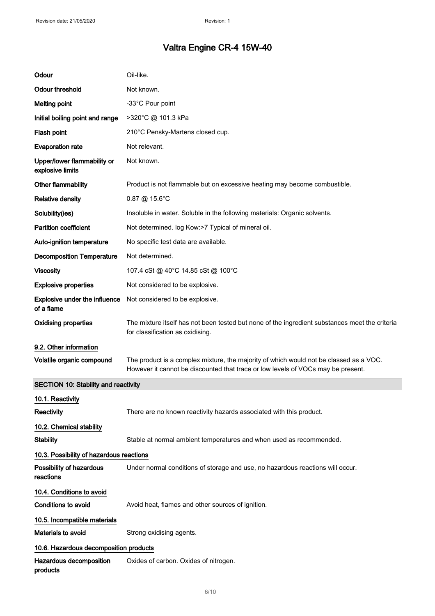| Odour                                              | Oil-like.                                                                                                                                                                  |
|----------------------------------------------------|----------------------------------------------------------------------------------------------------------------------------------------------------------------------------|
| <b>Odour threshold</b>                             | Not known.                                                                                                                                                                 |
| <b>Melting point</b>                               | -33°C Pour point                                                                                                                                                           |
| Initial boiling point and range                    | >320°C @ 101.3 kPa                                                                                                                                                         |
| Flash point                                        | 210°C Pensky-Martens closed cup.                                                                                                                                           |
| <b>Evaporation rate</b>                            | Not relevant.                                                                                                                                                              |
| Upper/lower flammability or<br>explosive limits    | Not known.                                                                                                                                                                 |
| Other flammability                                 | Product is not flammable but on excessive heating may become combustible.                                                                                                  |
| <b>Relative density</b>                            | $0.87 \ @ 15.6^{\circ}$ C                                                                                                                                                  |
| Solubility(ies)                                    | Insoluble in water. Soluble in the following materials: Organic solvents.                                                                                                  |
| <b>Partition coefficient</b>                       | Not determined. log Kow:>7 Typical of mineral oil.                                                                                                                         |
| Auto-ignition temperature                          | No specific test data are available.                                                                                                                                       |
| <b>Decomposition Temperature</b>                   | Not determined.                                                                                                                                                            |
| <b>Viscosity</b>                                   | 107.4 cSt @ 40°C 14.85 cSt @ 100°C                                                                                                                                         |
| <b>Explosive properties</b>                        | Not considered to be explosive.                                                                                                                                            |
| <b>Explosive under the influence</b><br>of a flame | Not considered to be explosive.                                                                                                                                            |
| <b>Oxidising properties</b>                        | The mixture itself has not been tested but none of the ingredient substances meet the criteria<br>for classification as oxidising.                                         |
| 9.2. Other information                             |                                                                                                                                                                            |
| Volatile organic compound                          | The product is a complex mixture, the majority of which would not be classed as a VOC.<br>However it cannot be discounted that trace or low levels of VOCs may be present. |
| <b>SECTION 10: Stability and reactivity</b>        |                                                                                                                                                                            |
| 10.1. Reactivity                                   |                                                                                                                                                                            |
| Reactivity                                         | There are no known reactivity hazards associated with this product.                                                                                                        |
| 10.2. Chemical stability                           |                                                                                                                                                                            |
| <b>Stability</b>                                   | Stable at normal ambient temperatures and when used as recommended.                                                                                                        |
| 10.3. Possibility of hazardous reactions           |                                                                                                                                                                            |
| Possibility of hazardous<br>reactions              | Under normal conditions of storage and use, no hazardous reactions will occur.                                                                                             |
| 10.4. Conditions to avoid                          |                                                                                                                                                                            |
| Conditions to avoid                                | Avoid heat, flames and other sources of ignition.                                                                                                                          |
| 10.5. Incompatible materials                       |                                                                                                                                                                            |
| Materials to avoid                                 | Strong oxidising agents.                                                                                                                                                   |
| 10.6. Hazardous decomposition products             |                                                                                                                                                                            |
| Hazardous decomposition<br>products                | Oxides of carbon. Oxides of nitrogen.                                                                                                                                      |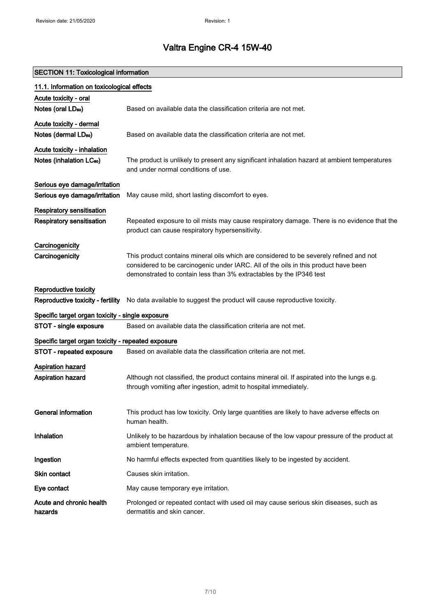# SECTION 11: Toxicological information

| 11.1. Information on toxicological effects         |                                                                                                                                                                 |  |
|----------------------------------------------------|-----------------------------------------------------------------------------------------------------------------------------------------------------------------|--|
| Acute toxicity - oral                              |                                                                                                                                                                 |  |
| Notes (oral LD <sub>50</sub> )                     | Based on available data the classification criteria are not met.                                                                                                |  |
| Acute toxicity - dermal                            |                                                                                                                                                                 |  |
| Notes (dermal LD <sub>50</sub> )                   | Based on available data the classification criteria are not met.                                                                                                |  |
| Acute toxicity - inhalation                        |                                                                                                                                                                 |  |
| Notes (inhalation LC <sub>50</sub> )               | The product is unlikely to present any significant inhalation hazard at ambient temperatures<br>and under normal conditions of use.                             |  |
| Serious eye damage/irritation                      |                                                                                                                                                                 |  |
| Serious eye damage/irritation                      | May cause mild, short lasting discomfort to eyes.                                                                                                               |  |
| <b>Respiratory sensitisation</b>                   |                                                                                                                                                                 |  |
| <b>Respiratory sensitisation</b>                   | Repeated exposure to oil mists may cause respiratory damage. There is no evidence that the                                                                      |  |
|                                                    | product can cause respiratory hypersensitivity.                                                                                                                 |  |
| Carcinogenicity                                    |                                                                                                                                                                 |  |
| Carcinogenicity                                    | This product contains mineral oils which are considered to be severely refined and not                                                                          |  |
|                                                    | considered to be carcinogenic under IARC. All of the oils in this product have been<br>demonstrated to contain less than 3% extractables by the IP346 test      |  |
| Reproductive toxicity                              |                                                                                                                                                                 |  |
| Reproductive toxicity - fertility                  | No data available to suggest the product will cause reproductive toxicity.                                                                                      |  |
| Specific target organ toxicity - single exposure   |                                                                                                                                                                 |  |
| STOT - single exposure                             | Based on available data the classification criteria are not met.                                                                                                |  |
| Specific target organ toxicity - repeated exposure |                                                                                                                                                                 |  |
| STOT - repeated exposure                           | Based on available data the classification criteria are not met.                                                                                                |  |
| <b>Aspiration hazard</b>                           |                                                                                                                                                                 |  |
| <b>Aspiration hazard</b>                           | Although not classified, the product contains mineral oil. If aspirated into the lungs e.g.<br>through vomiting after ingestion, admit to hospital immediately. |  |
| General information                                | This product has low toxicity. Only large quantities are likely to have adverse effects on<br>human health.                                                     |  |
| Inhalation                                         | Unlikely to be hazardous by inhalation because of the low vapour pressure of the product at<br>ambient temperature.                                             |  |
| Ingestion                                          | No harmful effects expected from quantities likely to be ingested by accident.                                                                                  |  |
| Skin contact                                       | Causes skin irritation.                                                                                                                                         |  |
| Eye contact                                        | May cause temporary eye irritation.                                                                                                                             |  |
| Acute and chronic health<br>hazards                | Prolonged or repeated contact with used oil may cause serious skin diseases, such as<br>dermatitis and skin cancer.                                             |  |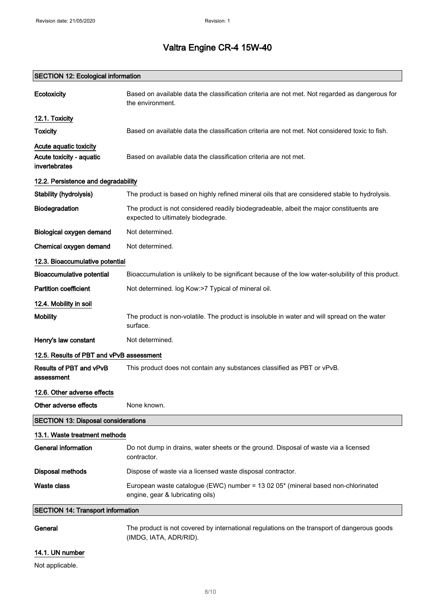# SECTION 12: Ecological information Ecotoxicity Based on available data the classification criteria are not met. Not regarded as dangerous for the environment. 12.1. Toxicity Toxicity **Based on available data the classification criteria are not met. Not considered toxic to fish.** Acute aquatic toxicity Acute toxicity - aquatic invertebrates Based on available data the classification criteria are not met. 12.2. Persistence and degradability Stability (hydrolysis) The product is based on highly refined mineral oils that are considered stable to hydrolysis. Biodegradation The product is not considered readily biodegradeable, albeit the major constituents are expected to ultimately biodegrade. Biological oxygen demand Not determined. Chemical oxygen demand Not determined. 12.3. Bioaccumulative potential Bioaccumulative potential Bioaccumulation is unlikely to be significant because of the low water-solubility of this product. Partition coefficient Not determined. log Kow:>7 Typical of mineral oil. 12.4. Mobility in soil Mobility The product is non-volatile. The product is insoluble in water and will spread on the water surface. Henry's law constant Not determined. 12.5. Results of PBT and vPvB assessment Results of PBT and vPvB assessment This product does not contain any substances classified as PBT or vPvB. 12.6. Other adverse effects Other adverse effects None known. SECTION 13: Disposal considerations 13.1. Waste treatment methods General information **Do not dump in drains, water sheets or the ground. Disposal of waste via a licensed** contractor. Disposal methods **Dispose of waste via a licensed waste disposal contractor.** Waste class European waste catalogue (EWC) number = 13 02 05\* (mineral based non-chlorinated engine, gear & lubricating oils) SECTION 14: Transport information General The product is not covered by international regulations on the transport of dangerous goods

(IMDG, IATA, ADR/RID).

### 14.1. UN number

Not applicable.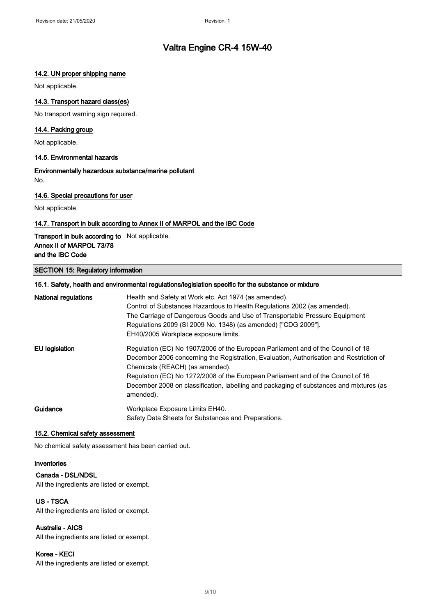### 14.2. UN proper shipping name

Not applicable.

### 14.3. Transport hazard class(es)

No transport warning sign required.

#### 14.4. Packing group

Not applicable.

#### 14.5. Environmental hazards

Environmentally hazardous substance/marine pollutant No.

#### 14.6. Special precautions for user

Not applicable.

#### 14.7. Transport in bulk according to Annex II of MARPOL and the IBC Code

Transport in bulk according to Not applicable. Annex II of MARPOL 73/78 and the IBC Code

#### SECTION 15: Regulatory information

| 15.1. Safety, health and environmental regulations/legislation specific for the substance or mixture |                                                                                                                                                                                                                                                                                                                                                                                                            |
|------------------------------------------------------------------------------------------------------|------------------------------------------------------------------------------------------------------------------------------------------------------------------------------------------------------------------------------------------------------------------------------------------------------------------------------------------------------------------------------------------------------------|
| <b>National regulations</b>                                                                          | Health and Safety at Work etc. Act 1974 (as amended).<br>Control of Substances Hazardous to Health Regulations 2002 (as amended).<br>The Carriage of Dangerous Goods and Use of Transportable Pressure Equipment<br>Regulations 2009 (SI 2009 No. 1348) (as amended) ["CDG 2009"].<br>EH40/2005 Workplace exposure limits.                                                                                 |
| EU legislation                                                                                       | Regulation (EC) No 1907/2006 of the European Parliament and of the Council of 18<br>December 2006 concerning the Registration, Evaluation, Authorisation and Restriction of<br>Chemicals (REACH) (as amended).<br>Regulation (EC) No 1272/2008 of the European Parliament and of the Council of 16<br>December 2008 on classification, labelling and packaging of substances and mixtures (as<br>amended). |
| Guidance                                                                                             | Workplace Exposure Limits EH40.<br>Safety Data Sheets for Substances and Preparations.                                                                                                                                                                                                                                                                                                                     |

#### 15.2. Chemical safety assessment

No chemical safety assessment has been carried out.

#### Inventories

#### Canada - DSL/NDSL

All the ingredients are listed or exempt.

### US - TSCA

All the ingredients are listed or exempt.

### Australia - AICS

All the ingredients are listed or exempt.

#### Korea - KECI

All the ingredients are listed or exempt.